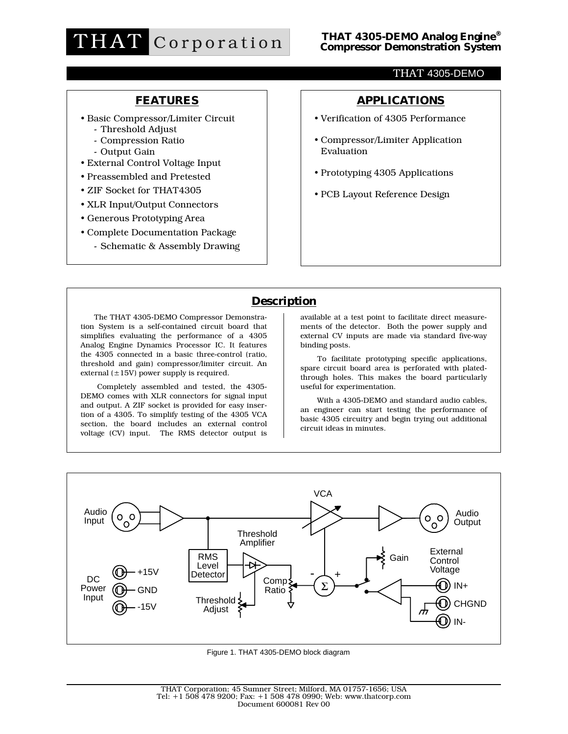

#### THAT 4305-DEMO

### **FEATURES**

- y Basic Compressor/Limiter Circuit
	- Threshold Adjust
	- Compression Ratio
	- Output Gain
- External Control Voltage Input
- Preassembled and Pretested
- ZIF Socket for THAT4305
- XLR Input/Output Connectors
- Generous Prototyping Area
- Complete Documentation Package
	- Schematic & Assembly Drawing

# **APPLICATIONS**

- y Verification of 4305 Performance
- Compressor/Limiter Application Evaluation
- Prototyping 4305 Applications
- PCB Layout Reference Design

### **Description**

The THAT 4305-DEMO Compressor Demonstration System is a self-contained circuit board that simplifies evaluating the performance of a 4305 Analog Engine Dynamics Processor IC. It features the 4305 connected in a basic three-control (ratio, threshold and gain) compressor/limiter circuit. An external  $(\pm 15V)$  power supply is required.

Completely assembled and tested, the 4305- DEMO comes with XLR connectors for signal input and output. A ZIF socket is provided for easy insertion of a 4305. To simplify testing of the 4305 VCA section, the board includes an external control voltage (CV) input. The RMS detector output is

available at a test point to facilitate direct measurements of the detector. Both the power supply and external CV inputs are made via standard five-way binding posts.

To facilitate prototyping specific applications, spare circuit board area is perforated with platedthrough holes. This makes the board particularly useful for experimentation.

With a 4305-DEMO and standard audio cables, an engineer can start testing the performance of basic 4305 circuitry and begin trying out additional circuit ideas in minutes.



Figure 1. THAT 4305-DEMO block diagram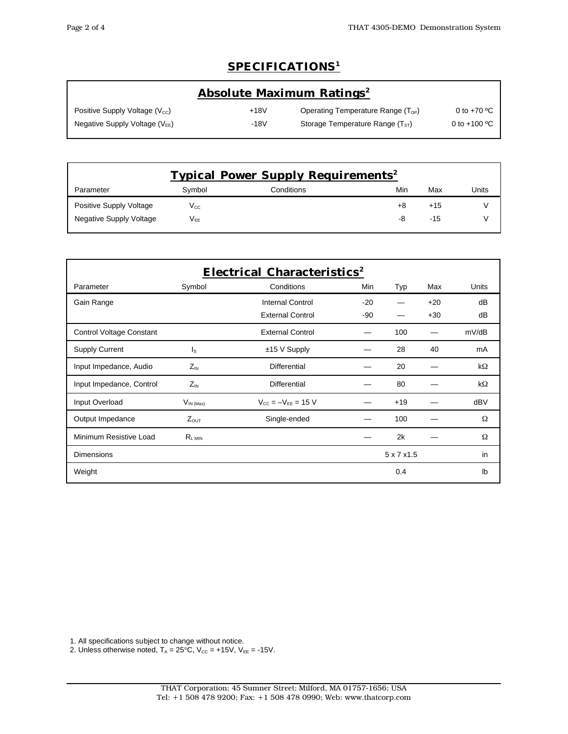## **SPECIFICATIONS1**

| <b>Absolute Maximum Ratings<sup>2</sup></b> |        |                                                |                |  |  |  |  |
|---------------------------------------------|--------|------------------------------------------------|----------------|--|--|--|--|
| Positive Supply Voltage (V <sub>cc</sub> )  | $+18V$ | Operating Temperature Range (T <sub>OP</sub> ) | 0 to $+70$ °C  |  |  |  |  |
| Negative Supply Voltage $(V_{FF})$          | $-18V$ | Storage Temperature Range $(T_{ST})$           | 0 to $+100$ °C |  |  |  |  |

| <b>Typical Power Supply Requirements<sup>2</sup></b> |                  |            |     |       |       |  |  |  |  |
|------------------------------------------------------|------------------|------------|-----|-------|-------|--|--|--|--|
| Parameter                                            | Symbol           | Conditions | Min | Max   | Units |  |  |  |  |
| Positive Supply Voltage                              | $\rm V_{\rm CC}$ |            | +8  | $+15$ | V     |  |  |  |  |
| Negative Supply Voltage                              | V <sub>FF</sub>  |            | -8  | -15   | v     |  |  |  |  |

| <b>Electrical Characteristics<sup>2</sup></b> |                |                           |             |       |       |              |  |  |  |
|-----------------------------------------------|----------------|---------------------------|-------------|-------|-------|--------------|--|--|--|
| Parameter                                     | Symbol         | Conditions                | Min         | Typ   | Max   | <b>Units</b> |  |  |  |
| Gain Range                                    |                | <b>Internal Control</b>   | $-20$       |       | $+20$ | dB           |  |  |  |
|                                               |                | <b>External Control</b>   | $-90$       |       | $+30$ | dB           |  |  |  |
| Control Voltage Constant                      |                | <b>External Control</b>   |             | 100   |       | mV/dB        |  |  |  |
| <b>Supply Current</b>                         | ls             | $±15$ V Supply            |             | 28    | 40    | mA           |  |  |  |
| Input Impedance, Audio                        | $Z_{\rm IN}$   | <b>Differential</b>       |             | 20    |       | $k\Omega$    |  |  |  |
| Input Impedance, Control                      | $Z_{IN}$       | <b>Differential</b>       |             | 80    |       | $k\Omega$    |  |  |  |
| Input Overload                                | $V_{IN (Max)}$ | $V_{CC} = -V_{EF} = 15$ V |             | $+19$ |       | dBV          |  |  |  |
| Output Impedance                              | $Z_{OUT}$      | Single-ended              |             | 100   |       | Ω            |  |  |  |
| Minimum Resistive Load                        | $R_{L \, MIN}$ |                           |             | 2k    |       | Ω            |  |  |  |
| <b>Dimensions</b>                             |                |                           | 5 x 7 x 1.5 |       |       | in           |  |  |  |
| Weight                                        |                |                           |             | 0.4   |       | lb           |  |  |  |

1. All specifications subject to change without notice.

2. Unless otherwise noted,  $T_A = 25^{\circ}C$ ,  $V_{CC} = +15V$ ,  $V_{EE} = -15V$ .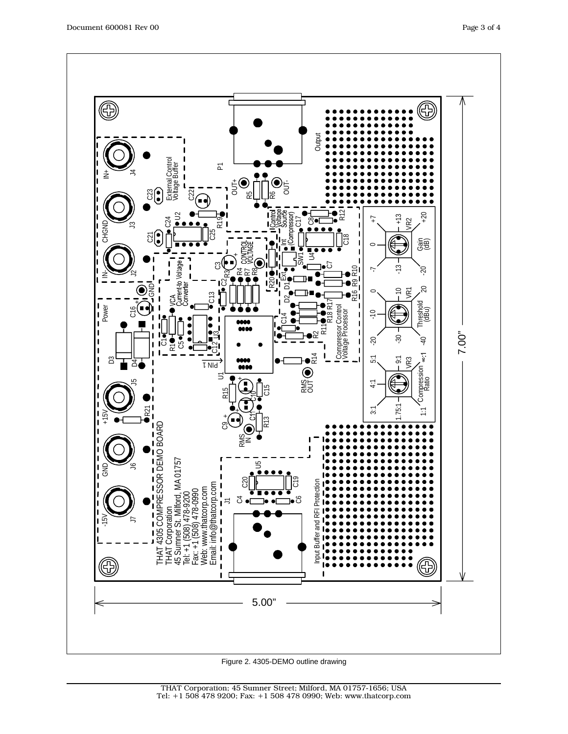

Figure 2. 4305-DEMO outline drawing